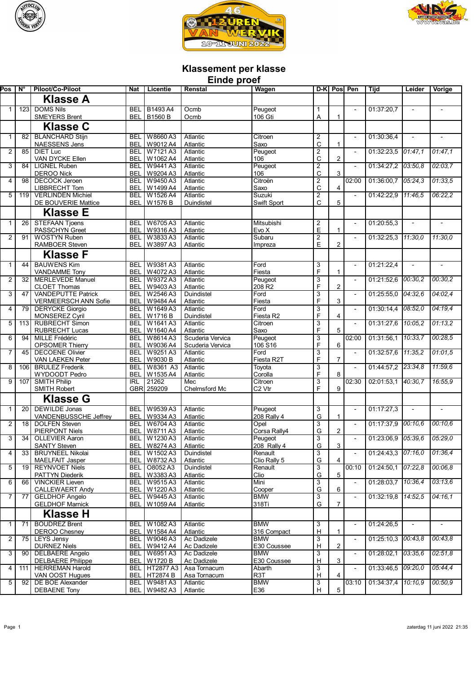





## **Klassement per klasse**

| <b>Einde proef</b> |                 |                                                    |                          |                                  |                              |                            |                                             |                         |                          |                        |         |                          |
|--------------------|-----------------|----------------------------------------------------|--------------------------|----------------------------------|------------------------------|----------------------------|---------------------------------------------|-------------------------|--------------------------|------------------------|---------|--------------------------|
| Pos                | <b>N°</b>       | Piloot/Co-Piloot                                   | <b>Nat</b>               | Licentie                         | Renstal                      | Wagen                      | $D-K$                                       | Pos                     | Pen                      | Tijd                   | Leider  | Vorige                   |
|                    |                 | <b>Klasse A</b>                                    |                          |                                  |                              |                            |                                             |                         |                          |                        |         |                          |
| $\mathbf{1}$       | 123             | <b>DOMS Nils</b>                                   |                          | <b>BEL   B1493 A4</b>            | Ocmb                         | Peugeot                    | $\mathbf{1}$                                |                         |                          | 01:37:20,7             |         |                          |
|                    |                 | <b>SMEYERS Brent</b>                               |                          | <b>BEL   B1560 B</b>             | Ocmb                         | 106 Gti                    | A                                           | 1                       |                          |                        |         |                          |
|                    |                 | <b>Klasse C</b>                                    |                          |                                  |                              |                            |                                             |                         |                          |                        |         |                          |
| 1                  | 82 l            | <b>BLANCHARD Stijn</b>                             | <b>BEL</b>               | W8660A3                          | Atlantic                     | Citroen                    | $\overline{c}$                              |                         | $\overline{\phantom{a}}$ | 01:30:36.4             |         | $\overline{a}$           |
| $\overline{2}$     | 85              | <b>NAESSENS Jens</b><br><b>DIET Luc</b>            | <b>BEL</b><br><b>BEL</b> | W9012 A4<br>W7121A3              | Atlantic<br>Atlantic         | Saxo<br>Peugeot            | $\mathsf C$<br>$\overline{2}$               | 1                       | $\blacksquare$           | $01:32:23.5$ $01:47.1$ |         | 01:47,1                  |
|                    |                 | VAN DYCKE Ellen                                    | BEL                      | W1062 A4                         | Atlantic                     | 106                        | $\mathsf C$                                 | $\overline{2}$          |                          |                        |         |                          |
| 3                  | 84              | <b>LIGNEL Ruben</b>                                | BEL<br><b>BEL</b>        | W9441A3<br>W9204 A3              | Atlantic                     | Peugeot<br>106             | $\overline{c}$<br>$\mathsf{C}$              | 3                       | $\blacksquare$           | 01:34:27,2 03:50,8     |         | 02:03,7                  |
| 4                  | 98              | <b>DEROO Nick</b><br><b>DECOCK Jeroen</b>          | <b>BEL</b>               | W9450A3                          | Atlantic<br>Atlantic         | Citroën                    | $\overline{2}$                              |                         | 02:00                    | 01:36:00,7 05:24,3     |         | 01:33,5                  |
|                    |                 | LIBBRECHT Tom                                      | <b>BEL</b>               | W1499 A4                         | Atlantic                     | Saxo                       | $\mathsf C$                                 | 4                       |                          |                        |         |                          |
| 5                  | 119             | <b>VERLINDEN Michiel</b><br>DE BOUVERIE Mattice    | <b>BEL</b><br><b>BEL</b> | W1526 A4<br>W1576 B              | Atlantic<br>Duindistel       | Suzuki<br>Swift Sport      | $\overline{2}$<br>C                         | 5                       | $\overline{a}$           | 01.42.22.9 11.46.5     |         | 06:22.2                  |
|                    |                 | <b>Klasse E</b>                                    |                          |                                  |                              |                            |                                             |                         |                          |                        |         |                          |
| 1                  | $\overline{26}$ | <b>STEFAAN Tjoens</b>                              | <b>BEL</b>               | W6705A3                          | <b>Atlantic</b>              | Mitsubishi                 | $\overline{\mathbf{c}}$                     |                         | $\overline{\phantom{a}}$ | 01:20:55,3             | $\sim$  | $\overline{a}$           |
|                    |                 | <b>PASSCHYN Greet</b>                              | <b>BEL</b>               | W9316A3                          | Atlantic                     | Evo X                      | E                                           | 1                       |                          |                        |         |                          |
| $\overline{2}$     | 91              | <b>WOSTYN Ruben</b>                                | BEL                      | W3833 A3                         | Atlantic                     | Subaru                     | $\overline{2}$                              |                         | $\overline{\phantom{a}}$ | 01:32:25,3 11:30,0     |         | 11:30,0                  |
|                    |                 | <b>RAMBOER Steven</b>                              | BEL                      | W3897A3                          | Atlantic                     | Impreza                    | E                                           | $\overline{2}$          |                          |                        |         |                          |
|                    |                 | <b>Klasse F</b>                                    |                          |                                  |                              |                            |                                             |                         |                          |                        |         |                          |
| 1                  | 44              | <b>BAUWENS Kim</b><br><b>VANDAMME</b> Tony         | <b>BEL</b><br>BEL        | W9381A3<br>W4072A3               | Atlantic<br>Atlantic         | Ford<br>Fiesta             | 3<br>F                                      | 1                       | $\overline{\phantom{a}}$ | 01:21:22,4             |         | ÷,                       |
| 2                  | 32 I            | <b>MERLEVEDE Manuel</b>                            | BEL.                     | W9372A3                          | Atlantic                     | Peugeot                    | 3                                           |                         | $\overline{a}$           | 01:21:52,6             | 00:30.2 | 00:30,2                  |
| 3                  | 47              | <b>CLOET Thomas</b><br><b>VANDEPUTTE Patrick</b>   | <b>BEL</b><br><b>BEL</b> | W9403A3<br>W2546A3               | Atlantic<br>Duindistel       | 208 R <sub>2</sub><br>Ford | F                                           | $\overline{2}$          | $\overline{\phantom{a}}$ | 01:25:55,0             | 04:32.6 | 04:02,4                  |
|                    |                 | VERMEERSCH ANN Sofie                               | <b>BEL</b>               | W9484 A4                         | Atlantic                     | Fiesta                     | 3<br>F                                      | 3                       |                          |                        |         |                          |
| 4                  | 79 I            | <b>DERYCKE Giorgio</b>                             | BEL                      | W1649A3                          | Atlantic                     | Ford                       | 3                                           |                         |                          | 01:30:14,4             | 08:52.0 | 04:19,4                  |
| 5                  | 113             | MONSEREZ Cyril<br><b>RUBRECHT Simon</b>            | <b>BEL</b><br><b>BEL</b> | W1716B<br>W1641A3                | Duindistel<br>Atlantic       | Fiesta R2<br>Citroen       | F<br>$\overline{3}$                         | $\overline{4}$          | $\overline{\phantom{a}}$ | 01:31:27,6             | 10:05.2 | 01:13,2                  |
|                    |                 | <b>RUBRECHT Lucas</b>                              | <b>BEL</b>               | W1640 A4                         | Atlantic                     | Saxo                       | F                                           | 5                       |                          |                        |         |                          |
| 6                  | 94              | <b>MILLE Frédéric</b>                              | BEL                      | W8614A3                          | Scuderia Vervica             | Peugeot                    | $\overline{3}$<br>F                         | 6                       | 02:00                    | 01:31:56,1             | 10:33.7 | 00:28,5                  |
| 7                  | 45              | <b>OPSOMER Thierry</b><br><b>DECOENE Olivier</b>   | BEL<br>BEL               | W9036 A4<br>W9251A3              | Scuderia Vervica<br>Atlantic | 106 S16<br>Ford            | 3                                           |                         | $\overline{\phantom{a}}$ | 01:32:57,6 11:35,2     |         | 01:01,5                  |
|                    |                 | VAN LAEKEN Peter                                   | <b>BEL</b>               | W9030 B                          | Atlantic                     | Fiesta R2T                 | F                                           | $\overline{7}$          |                          |                        |         |                          |
| 8                  | 106             | <b>BRULEZ Frederik</b><br><b>WYDOODT Pedro</b>     | BEL<br><b>BEL</b>        | W8361 A3<br>W1535 A4             | Atlantic<br>Atlantic         | Toyota<br>Corolla          | 3<br>F                                      | 8                       | $\overline{\phantom{a}}$ | 01:44:57,2 23:34,8     |         | 11:59,6                  |
| 9                  | 107             | <b>SMITH Philip</b>                                | <b>IRL</b>               | 21262                            | Mec                          | Citroen                    | 3                                           |                         | 02:30                    | 02:01:53,1 40:30,7     |         | 16:55,9                  |
|                    |                 | <b>SMITH Robert</b>                                |                          | GBR 259209                       | Chelmsford Mc                | C <sub>2</sub> Vtr         | F                                           | 9                       |                          |                        |         |                          |
|                    |                 | <b>Klasse G</b>                                    |                          |                                  |                              |                            |                                             |                         |                          |                        |         |                          |
| 1                  | ا 20            | <b>DEWILDE Jonas</b><br>VANDENBUSSCHE Jeffrey      | <b>BEL</b><br><b>BEL</b> | W9539A3<br>W9334 A3              | <b>Atlantic</b><br>Atlantic  | Peugeot<br>208 Rally 4     | 3<br>G                                      | 1                       | $\overline{\phantom{a}}$ | 01:17:27,3             |         | $\overline{\phantom{a}}$ |
| $\overline{2}$     | 18              | <b>DOLFEN Steven</b>                               | BEL                      | W6704 A3                         | Atlantic                     | Opel                       | 3                                           |                         |                          | 01:17:37,9             | 00:10.6 | 00:10.6                  |
|                    |                 | <b>PIERPONT Niels</b>                              | BEL                      | W8711A3                          | Atlantic                     | Corsa Rally4               | G                                           | 2                       |                          |                        |         |                          |
| 3                  | 34              | OLLEVIER Aaron<br><b>SANTY Steven</b>              |                          | BEL   W1230 A3<br>BEL   W8274 A3 | Atlantic<br>Atlantic         | Peugeot<br>208 Rally 4     | 3<br>${\mathsf G}$                          | 3                       | $\overline{a}$           | 01:23:06,9 05:39,6     |         | 05:29,0                  |
| 4                  | 33 I            | <b>BRUYNEEL Nikolai</b>                            | BEL                      | W1502A3                          | Duindistel                   | Renault                    | 3                                           |                         |                          | 01:24:43.3 07:16.0     |         | 01:36,4                  |
| 5                  | 19 <sup>1</sup> | <b>MAELFAIT Jasper</b><br><b>REYNVOET Niels</b>    | BEL<br>BEL               | W8732 A3<br>O8052A3              | Atlantic<br>Duindistel       | Clio Rally 5<br>Renault    | $\mathsf G$<br>$\overline{3}$               | $\boldsymbol{\Delta}$   | 00:10                    | 01:24:50,1 07:22,8     |         | 00:06,8                  |
|                    |                 | PATTYN Diederik                                    | BEL                      | W3383 A3                         | Atlantic                     | Clio                       | ${\mathsf G}$                               | 5                       |                          |                        |         |                          |
| 6                  | 66              | <b>VINCKIER Lieven</b>                             | BEL.                     | W9515A3                          | Atlantic                     | Mini                       | 3                                           |                         | $\overline{\phantom{a}}$ | 01:28:03,7 10:36,4     |         | 03:13,6                  |
| $\overline{7}$     | 77              | <b>CALLEWAERT Andy</b><br><b>GELDHOF Angelo</b>    | <b>BEL</b><br>BEL        | W1220 A3<br>W9445A3              | Atlantic<br>Atlantic         | Cooper<br><b>BMW</b>       | G<br>$\overline{3}$                         | 6                       | $\overline{\phantom{a}}$ | 01:32:19.8 14:52.5     |         | 04:16,1                  |
|                    |                 | <b>GELDHOF Marnick</b>                             | BEL                      | W1059 A4                         | Atlantic                     | 318Ti                      | G                                           | 7                       |                          |                        |         |                          |
|                    |                 | <b>Klasse H</b>                                    |                          |                                  |                              |                            |                                             |                         |                          |                        |         |                          |
| $\mathbf{1}$       | 71 I            | <b>BOUDREZ Brent</b>                               |                          | BEL W1082 A3                     | Atlantic                     | <b>BMW</b>                 | 3                                           |                         | $\overline{\phantom{a}}$ | 01:24:26.5             |         | $\overline{\phantom{a}}$ |
| $\overline{2}$     | 75 I            | <b>DEROO Chesnev</b><br><b>LEYS Jensy</b>          | <b>BEL</b><br><b>BEL</b> | W 1584 A4<br>W9046A3             | Atlantic<br>Ac Dadizele      | 316 Compact<br><b>BMW</b>  | $\mathsf H$<br>$\overline{3}$               | $\mathbf{1}$            | $\blacksquare$           | 01:25:10.3 00:43.8     |         | 00:43,8                  |
|                    |                 | <b>DURNEZ Niels</b>                                | <b>BEL</b>               | W9412A4                          | Ac Dadizele                  | E30 Coussee                | H                                           | $\overline{2}$          |                          |                        |         |                          |
| 3                  | 90 l            | <b>DELBAERE Angelo</b>                             | <b>BEL</b>               | W6951A3                          | Ac Dadizele                  | <b>BMW</b>                 | $\overline{3}$<br>$\boldsymbol{\mathsf{H}}$ | 3                       |                          | 01:28:02,1             | 03:35,6 | 02:51,8                  |
| 4                  | 1111            | <b>DELBAERE Philippe</b><br><b>HERREMAN Harold</b> | BEL<br>BEL               | W1720 B<br>HT2877 A3             | Ac Dadizele<br>Asa Tornacum  | E30 Coussee<br>Abarth      | $\overline{3}$                              |                         | $\blacksquare$           | 01:33:46,5 09:20,0     |         | 05:44,4                  |
|                    |                 | VAN OOST Hugues                                    | BEL                      | <b>HT2874 B</b>                  | Asa Tornacum                 | R <sub>3</sub> T           | $\mathsf H$                                 | $\overline{\mathbf{4}}$ |                          |                        |         |                          |
| 5                  | 92 <sub>1</sub> | DE BOE Alexander<br><b>DEBAENE Tony</b>            | <b>BEL</b><br>BEL        | W9481A3<br>W9482A3               | Atlantic<br>Atlantic         | <b>BMW</b><br>E36          | 3<br>H                                      | $\overline{5}$          | 03:10                    | 01:34:37,4 10:10,9     |         | 00:50,9                  |
|                    |                 |                                                    |                          |                                  |                              |                            |                                             |                         |                          |                        |         |                          |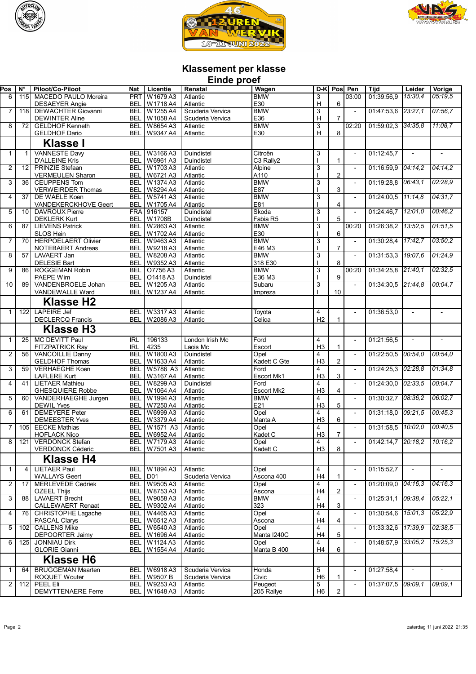





## **Klassement per klasse**

| Einde proef    |                 |                                                 |                          |                                    |                                      |                                              |                                  |                |                          |                        |                       |                |
|----------------|-----------------|-------------------------------------------------|--------------------------|------------------------------------|--------------------------------------|----------------------------------------------|----------------------------------|----------------|--------------------------|------------------------|-----------------------|----------------|
| $P_{OS}$       | N°              | Piloot/Co-Piloot                                | Nat                      | Licentie                           | Renstal                              | Wagen                                        | $D-K$                            | Pos            | Pen                      | Tijd                   | Leider                | Vorige         |
| 6              | 115             | MACEDO PAULO Moreira                            | <b>PRT</b>               | W1679A3                            | Atlantic                             | <b>BMW</b>                                   | 3                                |                | 03:00                    | 01:39:56.9             | 15:30.4               | 05:19.5        |
|                |                 | <b>DESAEYER Angie</b>                           | <b>BEL</b>               | W1718 A4                           | Atlantic                             | E30                                          | H                                | 6              |                          |                        |                       |                |
| $\overline{7}$ | 118             | <b>DEWACHTER Giovanni</b>                       | <b>BEL</b><br><b>BEL</b> | W1255 A4                           | Scuderia Vervica<br>Scuderia Vervica | <b>BMW</b><br>E36                            | 3<br>H                           | $\overline{7}$ | $\overline{a}$           | 01:47:53.6             | 23:27,1               | 07:56.7        |
| 8              | 72              | <b>DEWINTER Aline</b><br><b>GELDHOF Kenneth</b> | <b>BEL</b>               | W1058 A4<br>W8654A3                | Atlantic                             | <b>BMW</b>                                   | 3                                |                | 02:20                    | 01:59:02.3             | 34:35.8               | 11:08.7        |
|                |                 | <b>GELDHOF Dario</b>                            | <b>BEL</b>               | W9347 A4                           | Atlantic                             | E30                                          | H                                | 8              |                          |                        |                       |                |
|                |                 | <b>Klasse I</b>                                 |                          |                                    |                                      |                                              |                                  |                |                          |                        |                       |                |
|                |                 |                                                 |                          |                                    |                                      |                                              |                                  |                |                          |                        |                       |                |
| $\mathbf{1}$   | 1               | <b>VANNESTE Davy</b><br><b>D'ALLEINE Kris</b>   | <b>BEL</b><br><b>BEL</b> | W3166A3<br>W6961A3                 | Duindistel<br>Duindistel             | Citroën<br>C <sub>3</sub> Rally <sub>2</sub> | 3                                | 1              | $\overline{\phantom{a}}$ | 01:12:45,7             |                       |                |
| $\overline{2}$ | 12 <sub>l</sub> | <b>PRINZIE Stefaan</b>                          | <b>BEL</b>               | W1703 A3                           | Atlantic                             | Alpine                                       | 3                                |                | $\overline{\phantom{a}}$ | $01:16:59.9$ $04:14.2$ |                       | 04:14.2        |
|                |                 | <b>VERMEULEN Sharon</b>                         | <b>BEL</b>               | W6721A3                            | Atlantic                             | A110                                         |                                  | $\overline{2}$ |                          |                        |                       |                |
| 3              | 36 <sup>1</sup> | <b>CEUPPENS Tom</b>                             | <b>BEL</b>               | W1374 A3                           | Atlantic                             | <b>BMW</b>                                   | 3                                |                | $\overline{\phantom{a}}$ | 01:19:28.8 06:43.1     |                       | 02:28.9        |
|                |                 | <b>VERWEIRDER Thomas</b>                        | <b>BEL</b>               | W8294 A4                           | Atlantic                             | E87                                          |                                  | 3              |                          |                        |                       |                |
| 4              | 37              | DE WAELE Koen<br>VANDEKERCKHOVE Geert           | <b>BEL</b><br><b>BEL</b> | W5741A3<br>W1705 A4                | Atlantic<br>Atlantic                 | <b>BMW</b><br>E81                            | 3                                | 4              | $\overline{\phantom{a}}$ | 01:24:00,5 11:14,8     |                       | 04:31.7        |
| 5              | 10 <sup>1</sup> | <b>DAVROUX Pierre</b>                           | <b>FRA</b>               | 916157                             | Duindistel                           | Skoda                                        | 3                                |                |                          | 01:24:46,7 12:01.0     |                       | 00:46.2        |
|                |                 | <b>DEKLERK Kurt</b>                             | <b>BEL</b>               | W1708B                             | Duindistel                           | Fabia R5                                     |                                  | 5              |                          |                        |                       |                |
| 6              | 87              | <b>LIEVENS Patrick</b>                          | <b>BEL</b>               | W2863A3                            | Atlantic                             | <b>BMW</b>                                   | 3                                |                | 00:20                    | 01:26:38,2 73:52,5     |                       | 01:51.5        |
|                |                 | <b>SLOS Hein</b>                                | <b>BEL</b>               | W1702 A4                           | Atlantic                             | E30                                          |                                  | 6              |                          | 01:30:28,4 17:42,7     |                       |                |
| 7              | 70              | <b>HERPOELAERT Olivier</b><br>NOTEBAERT Andreas | <b>BEL</b><br><b>BEL</b> | W9463A3<br>W9218A3                 | Atlantic<br>Atlantic                 | <b>BMW</b><br>E46 M3                         | 3                                | $\overline{7}$ | $\overline{a}$           |                        |                       | 03:50,2        |
| 8              | 57              | <b>LAVAERT Jan</b>                              | <b>BEL</b>               | W8208A3                            | Atlantic                             | <b>BMW</b>                                   | 3                                |                | $\overline{a}$           | 01:31:53,3 19:07,6     |                       | 01:24.9        |
|                |                 | <b>DELESIE Bart</b>                             | <b>BEL</b>               | W9352A3                            | Atlantic                             | 318 E30                                      |                                  | 8              |                          |                        |                       |                |
| 9              | 86              | <b>ROGGEMAN Robin</b>                           | <b>BEL</b>               | O7756A3                            | Atlantic                             | <b>BMW</b>                                   | 3                                |                | 00:20                    | 01:34:25.8 21:40,1     |                       | 02:32,5        |
| 10             | 89              | PAEPE Wim<br>VANDENBROELE Johan                 | <b>BEL</b><br><b>BEL</b> | O1418A3<br>W1205A3                 | Duindistel<br>Atlantic               | E36 M3<br>Subaru                             | 3                                | 9              |                          | 01:34:30.5 21:44.8     |                       | 00:04.7        |
|                |                 | VANDEWALLE Ward                                 | <b>BEL</b>               | W1237 A4                           | Atlantic                             | Impreza                                      |                                  | 10             |                          |                        |                       |                |
|                |                 | <b>Klasse H2</b>                                |                          |                                    |                                      |                                              |                                  |                |                          |                        |                       |                |
|                |                 | <b>LAPEIRE Jef</b>                              |                          |                                    |                                      |                                              |                                  |                |                          |                        |                       |                |
| $\mathbf{1}$   | 122             | <b>DECLERCQ Francis</b>                         | <b>BEL</b><br><b>BEL</b> | W3317A3<br>W2086A3                 | Atlantic<br>Atlantic                 | Toyota<br>Celica                             | 4<br>H <sub>2</sub>              | $\mathbf{1}$   | $\overline{\phantom{a}}$ | 01:36:53,0             |                       |                |
|                |                 | <b>Klasse H3</b>                                |                          |                                    |                                      |                                              |                                  |                |                          |                        |                       |                |
|                |                 |                                                 |                          |                                    |                                      |                                              |                                  |                |                          |                        |                       |                |
| $\mathbf{1}$   | 25              | MC DEVITT Paul<br><b>FITZPATRICK Ray</b>        | <b>IRL</b><br><b>IRL</b> | 196133<br>4235                     | London Irish Mc<br>Laois Mc          | Ford<br>Escort                               | 4<br>H3                          | $\mathbf{1}$   | $\overline{\phantom{a}}$ | 01:21:56.5             |                       |                |
| $\overline{2}$ | 56              | <b>VANCOILLIE Danny</b>                         | <b>BEL</b>               | W1800 A3                           | Duindistel                           | Opel                                         | 4                                |                |                          | 01:22:50,5             | $\overline{00:54}$ ,0 | 00:54.0        |
|                |                 | <b>GELDHOF Thomas</b>                           | BEL                      | W1633 A4                           | Atlantic                             | Kadett C Gte                                 | H <sub>3</sub>                   | $\overline{2}$ |                          |                        |                       |                |
| 3              | 59              | <b>VERHAEGHE Koen</b>                           | <b>BEL</b>               | W5786 A3                           | Atlantic                             | Ford                                         | $\overline{4}$                   |                | $\overline{\phantom{a}}$ | 01:24:25.3 02:28.8     |                       | 01:34.8        |
| 4              | 41              | <b>LAFLERE Kurt</b><br><b>LIETAER Mathieu</b>   | <b>BEL</b><br>BEL        | W3167 A4<br>W8299 A3               | Atlantic<br>Duindistel               | Escort Mk1<br>Ford                           | H <sub>3</sub><br>4              | 3              | $\overline{\phantom{a}}$ | 01:24:30.0             | 02:33.5               | 00:04,7        |
|                |                 | <b>GHESQUIERE Robbe</b>                         | <b>BEL</b>               | W1064 A4                           | Atlantic                             | Escort Mk2                                   | H <sub>3</sub>                   | 4              |                          |                        |                       |                |
| 5              | 60              | VANDERHAEGHE Jurgen                             | <b>BEL</b>               | W1994 A3                           | Atlantic                             | <b>BMW</b>                                   | $\overline{4}$                   |                | $\overline{\phantom{a}}$ | 01:30:32,7 08:36.2     |                       | 06:02,7        |
|                |                 | <b>DEWIL Yves</b>                               | <b>BEL</b>               | W7250 A4                           | Atlantic                             | E21                                          | H <sub>3</sub>                   | 5              |                          |                        |                       |                |
| 6              | 61              | <b>DEMEYERE Peter</b>                           | <b>BEL</b>               | W6999 A3<br>W3379 A4               | Atlantic                             | Opel                                         | 4<br>H <sub>3</sub>              | 6              | $\overline{\phantom{a}}$ | 01:31:18.0             | 09:21.5               | 00:45.3        |
| 7              | 105             | <b>DEMEESTER Yves</b><br><b>EECKE Mathias</b>   | <b>BEL</b><br><b>BEL</b> | W1571 A3                           | Atlantic<br>Atlantic                 | Manta A<br>Opel                              | 4                                |                | $\overline{\phantom{a}}$ | 01:31:58,5  10:02.0    |                       | 00:40.5        |
|                |                 | <b>HOFLACK Nico</b>                             |                          | <b>BFI W6952 A4</b>                | Atlantic                             | Kadet C                                      | H <sub>3</sub>                   | $\overline{7}$ |                          |                        |                       |                |
| 8              | 121             | <b>VERDONCK Stefan</b>                          |                          | <b>BEL</b> W7179 A3                | Atlantic                             | Opel                                         | $\overline{4}$                   |                |                          | 01:42:14.7 20:18.2     |                       | 10:16.2        |
|                |                 | VERDONCK Céderic                                |                          | BEL   W7501 A3                     | Atlantic                             | Kadett C                                     | H3                               | 8              |                          |                        |                       |                |
|                |                 | <b>Klasse H4</b>                                |                          |                                    |                                      |                                              |                                  |                |                          |                        |                       |                |
| $\mathbf{1}$   | $\vert$         | <b>LIETAER Paul</b>                             |                          | <b>BEL W1894 A3</b>                | Atlantic                             | Opel                                         | 4                                |                | $\overline{\phantom{a}}$ | 01:15:52,7             |                       |                |
|                |                 | <b>WALLAYS Geert</b>                            | BEL D01                  |                                    | Scuderia Vervica                     | Ascona 400                                   | H4                               | $\mathbf{1}$   |                          |                        |                       |                |
| 2              | 17              | <b>MERLEVEDE Cedriek</b><br><b>OZEEL Thijs</b>  |                          | BEL   W9505 A3<br>BEL W8753 A3     | Atlantic<br><b>Atlantic</b>          | Opel<br>Ascona                               | 4<br>H4                          | $\overline{2}$ |                          | 01:20:09.0             | 04:16,3               | 04:16.3        |
| 3              | 88              | <b>LAVAERT Brecht</b>                           |                          | BEL   W9058 A3                     | Atlantic                             | <b>BMW</b>                                   | 4                                |                |                          | 01:25:31.1             | [09:38,4]             | 05:22,1        |
|                |                 | <b>CALLEWAERT Renaat</b>                        |                          | BEL   W9302 A4                     | Atlantic                             | 323                                          | H4                               | 3              |                          |                        |                       |                |
| 4              | 76              | CHRISTOPHE Lagache                              |                          | BEL   W4465 A3                     | Atlantic                             | Opel                                         | 4                                |                | $\blacksquare$           | 01:30:54,6 15:01,3     |                       | 05:22,9        |
| 5              |                 | PASCAL Clarys<br><b>CALLENS Mike</b>            |                          | BEL W6512A3<br><b>BEL W6540 A3</b> | Atlantic<br>Atlantic                 | Ascona                                       | H <sub>4</sub><br>$\overline{4}$ | 4              | $\overline{\phantom{a}}$ | 01:33:32,6 17:39,9     |                       | 02:38.5        |
|                | 102             | <b>DEPOORTER Jaimy</b>                          |                          | BEL W1696 A4                       | Atlantic                             | Opel<br>Manta I240C                          | H4                               | 5              |                          |                        |                       |                |
| 6              | 125             | <b>JONNIAU Dirk</b>                             |                          | BEL   W1124 A3                     | Atlantic                             | Opel                                         | $\overline{4}$                   |                | $\overline{\phantom{a}}$ | 01:48:57,9 33:05,2     |                       | 15:25.3        |
|                |                 | <b>GLORIE Gianni</b>                            |                          | BEL   W1554 A4                     | Atlantic                             | Manta B 400                                  | H4                               | 6              |                          |                        |                       |                |
|                |                 | <b>Klasse H6</b>                                |                          |                                    |                                      |                                              |                                  |                |                          |                        |                       |                |
| $\mathbf{1}$   | 64              | <b>BRUGGEMAN Maarten</b>                        |                          | <b>BEL W6918A3</b>                 | Scuderia Vervica                     | Honda                                        | 5                                |                | $\overline{\phantom{a}}$ | 01:27:58,4             |                       | $\blacksquare$ |
|                |                 | <b>ROQUET Wouter</b>                            |                          | <b>BEL   W9507 B</b>               | Scuderia Vervica                     | Civic                                        | H <sub>6</sub>                   | $\mathbf{1}$   |                          |                        |                       |                |
| 2              | 112             | PEEL Eli                                        |                          | <b>BEL W9253 A3</b>                | Atlantic                             | Peugeot                                      | $\overline{5}$                   |                |                          | 01:37:07.5 09:09.1     |                       | 09:09.1        |
|                |                 | <b>DEMYTTENAERE Ferre</b>                       |                          | BEL   W1648 A3                     | Atlantic                             | 205 Rallye                                   | H <sub>6</sub>                   | $\overline{2}$ |                          |                        |                       |                |